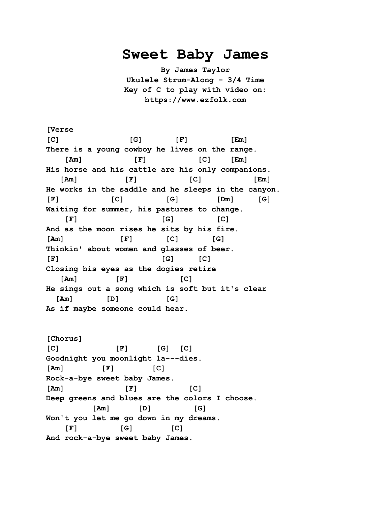## **Sweet Baby James**

**By James Taylor Ukulele Strum-Along – 3/4 Time Key of C to play with video on: https://www.ezfolk.com**

**[Verse [C] [G] [F] [Em] There is a young cowboy he lives on the range. [Am] [F] [C] [Em] His horse and his cattle are his only companions. [Am] [F] [C] [Em] He works in the saddle and he sleeps in the canyon. [F] [C] [G] [Dm] [G] Waiting for summer, his pastures to change. [F] [G] [C] And as the moon rises he sits by his fire. [Am] [F] [C] [G] Thinkin' about women and glasses of beer. [F] [G] [C] Closing his eyes as the dogies retire [Am] [F] [C] He sings out a song which is soft but it's clear [Am] [D] [G] As if maybe someone could hear.**

**[Chorus] [C] [F] [G] [C] Goodnight you moonlight la---dies. [Am] [F] [C] Rock-a-bye sweet baby James. [Am] [F] [C] Deep greens and blues are the colors I choose. [Am] [D] [G] Won't you let me go down in my dreams. [F] [G] [C] And rock-a-bye sweet baby James.**